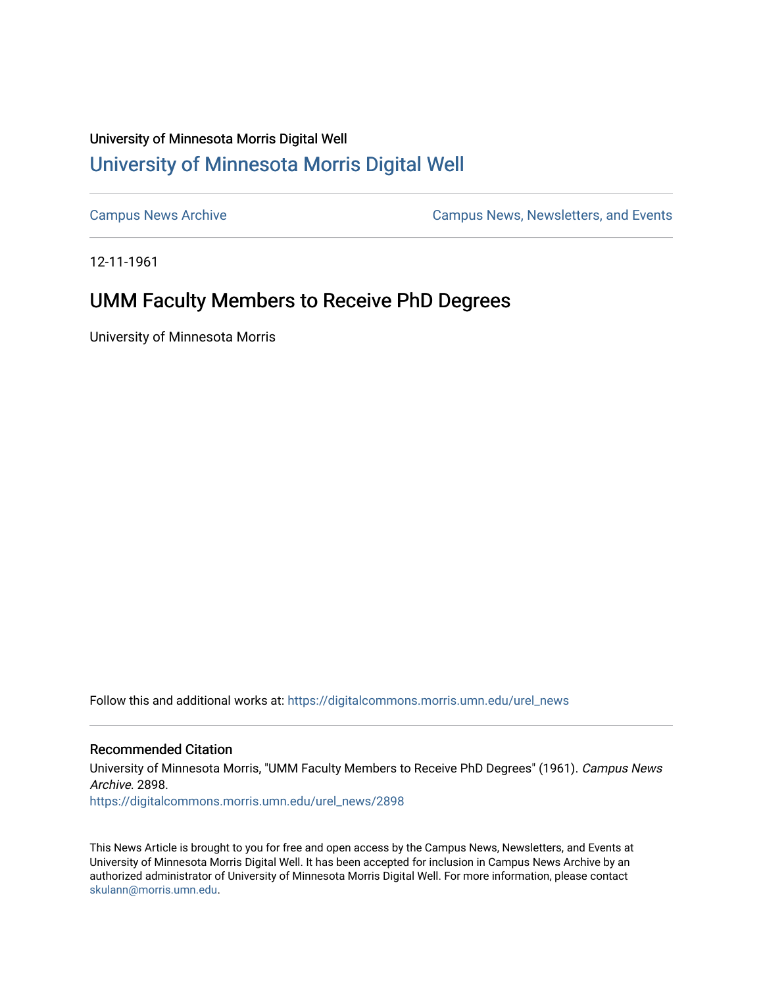## University of Minnesota Morris Digital Well [University of Minnesota Morris Digital Well](https://digitalcommons.morris.umn.edu/)

[Campus News Archive](https://digitalcommons.morris.umn.edu/urel_news) [Campus News, Newsletters, and Events](https://digitalcommons.morris.umn.edu/externalrel) 

12-11-1961

## UMM Faculty Members to Receive PhD Degrees

University of Minnesota Morris

Follow this and additional works at: [https://digitalcommons.morris.umn.edu/urel\\_news](https://digitalcommons.morris.umn.edu/urel_news?utm_source=digitalcommons.morris.umn.edu%2Furel_news%2F2898&utm_medium=PDF&utm_campaign=PDFCoverPages) 

## Recommended Citation

University of Minnesota Morris, "UMM Faculty Members to Receive PhD Degrees" (1961). Campus News Archive. 2898.

[https://digitalcommons.morris.umn.edu/urel\\_news/2898](https://digitalcommons.morris.umn.edu/urel_news/2898?utm_source=digitalcommons.morris.umn.edu%2Furel_news%2F2898&utm_medium=PDF&utm_campaign=PDFCoverPages) 

This News Article is brought to you for free and open access by the Campus News, Newsletters, and Events at University of Minnesota Morris Digital Well. It has been accepted for inclusion in Campus News Archive by an authorized administrator of University of Minnesota Morris Digital Well. For more information, please contact [skulann@morris.umn.edu.](mailto:skulann@morris.umn.edu)